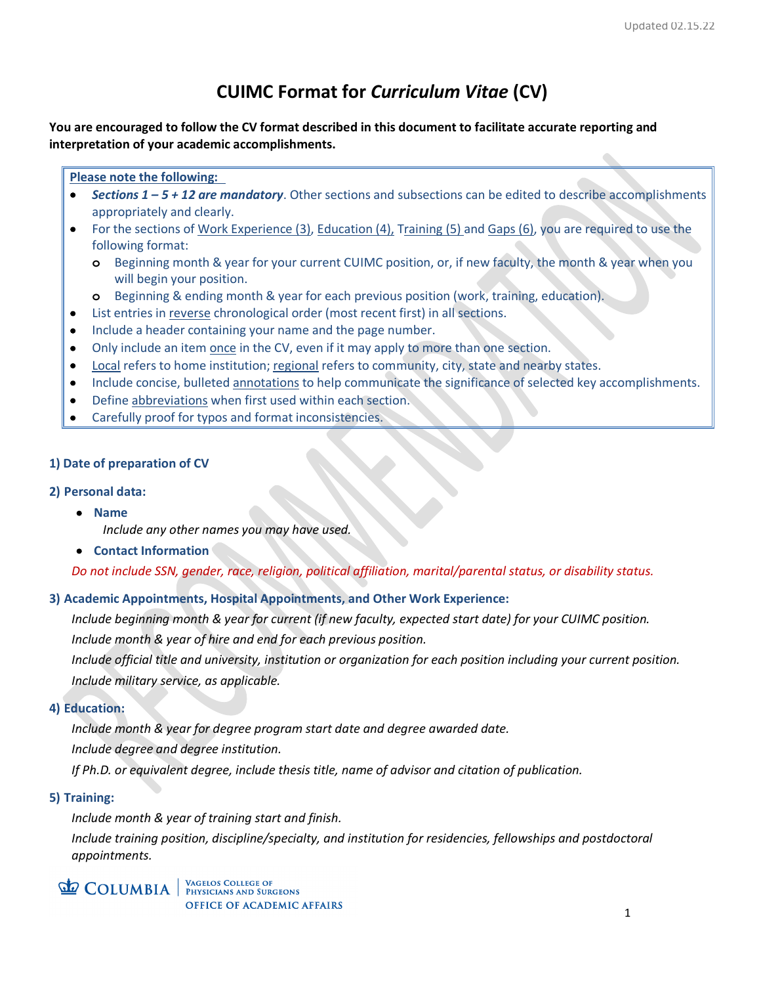# **CUIMC Format for** *Curriculum Vitae* **(CV)**

**You are encouraged to follow the CV format described in this document to facilitate accurate reporting and interpretation of your academic accomplishments.**

#### **Please note the following:**

- *Sections 1 – 5 + 12 are mandatory*. Other sections and subsections can be edited to describe accomplishments appropriately and clearly.
- For the sections of Work Experience (3), Education (4), Training (5) and Gaps (6), you are required to use the following format:
	- **o** Beginning month & year for your current CUIMC position, or, if new faculty, the month & year when you will begin your position.
	- **o** Beginning & ending month & year for each previous position (work, training, education).
- List entries in reverse chronological order (most recent first) in all sections.
- Include a header containing your name and the page number.
- Only include an item once in the CV, even if it may apply to more than one section.
- Local refers to home institution; regional refers to community, city, state and nearby states.
- Include concise, bulleted annotations to help communicate the significance of selected key accomplishments.
- Define abbreviations when first used within each section.
- Carefully proof for typos and format inconsistencies.

#### **1) Date of preparation of CV**

#### **2) Personal data:**

- **Name**
	- *Include any other names you may have used.*
- **Contact Information**

*Do not include SSN, gender, race, religion, political affiliation, marital/parental status, or disability status.* 

# **3) Academic Appointments, Hospital Appointments, and Other Work Experience:**

*Include beginning month & year for current (if new faculty, expected start date) for your CUIMC position.*

*Include month & year of hire and end for each previous position.* 

*Include official title and university, institution or organization for each position including your current position. Include military service, as applicable.*

#### **4) Education:**

*Include month & year for degree program start date and degree awarded date. Include degree and degree institution.*

*If Ph.D. or equivalent degree, include thesis title, name of advisor and citation of publication.* 

# **5) Training:**

*Include month & year of training start and finish. Include training position, discipline/specialty, and institution for residencies, fellowships and postdoctoral appointments.*

# **COLUMBIA** WAGELOS COLLEGE OF

VAGELOS COLLEGE OF **OFFICE OF ACADEMIC AFFAIRS**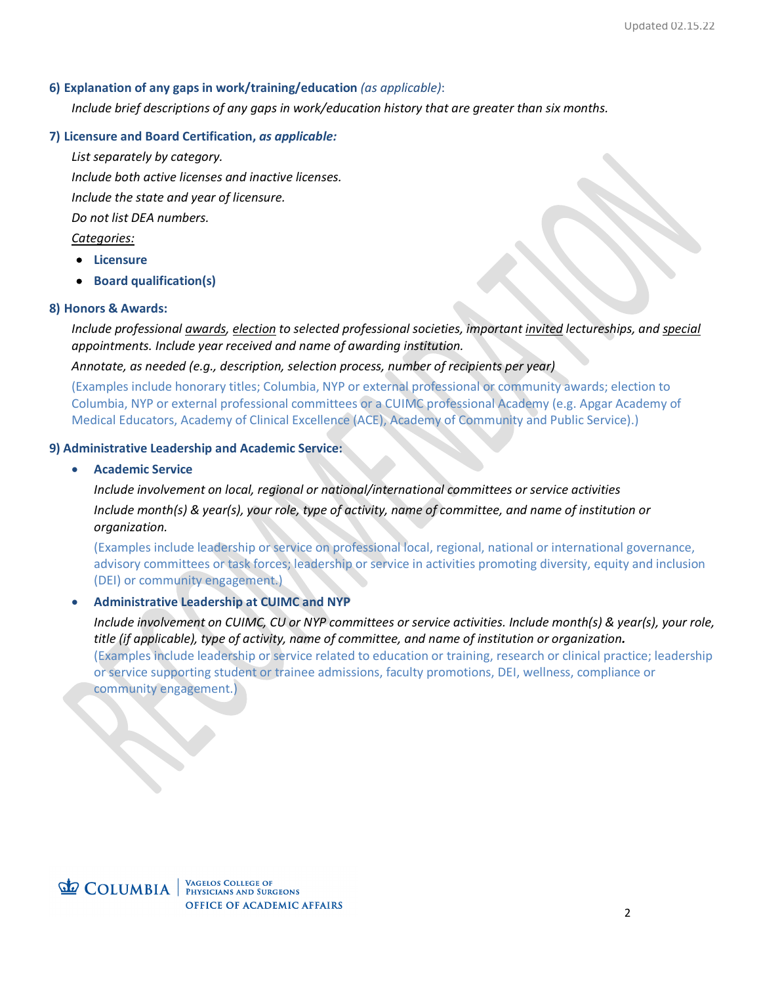#### **6) Explanation of any gaps in work/training/education** *(as applicable)*:

*Include brief descriptions of any gaps in work/education history that are greater than six months.*

### **7) Licensure and Board Certification,** *as applicable:*

*List separately by category. Include both active licenses and inactive licenses. Include the state and year of licensure. Do not list DEA numbers. Categories:*

- **Licensure**
- **Board qualification(s)**

#### **8) Honors & Awards:**

*Include professional awards, election to selected professional societies, important invited lectureships, and special appointments. Include year received and name of awarding institution.*

*Annotate, as needed (e.g., description, selection process, number of recipients per year)*

(Examples include honorary titles; Columbia, NYP or external professional or community awards; election to Columbia, NYP or external professional committees or a CUIMC professional Academy (e.g. Apgar Academy of Medical Educators, Academy of Clinical Excellence (ACE), Academy of Community and Public Service).)

#### **9) Administrative Leadership and Academic Service:**

#### • **Academic Service**

*Include involvement on local, regional or national/international committees or service activities Include month(s) & year(s), your role, type of activity, name of committee, and name of institution or organization.* 

(Examples include leadership or service on professional local, regional, national or international governance, advisory committees or task forces; leadership or service in activities promoting diversity, equity and inclusion (DEI) or community engagement.)

# • **Administrative Leadership at CUIMC and NYP**

*Include involvement on CUIMC, CU or NYP committees or service activities. Include month(s) & year(s), your role, title (if applicable), type of activity, name of committee, and name of institution or organization.* (Examples include leadership or service related to education or training, research or clinical practice; leadership or service supporting student or trainee admissions, faculty promotions, DEI, wellness, compliance or community engagement.)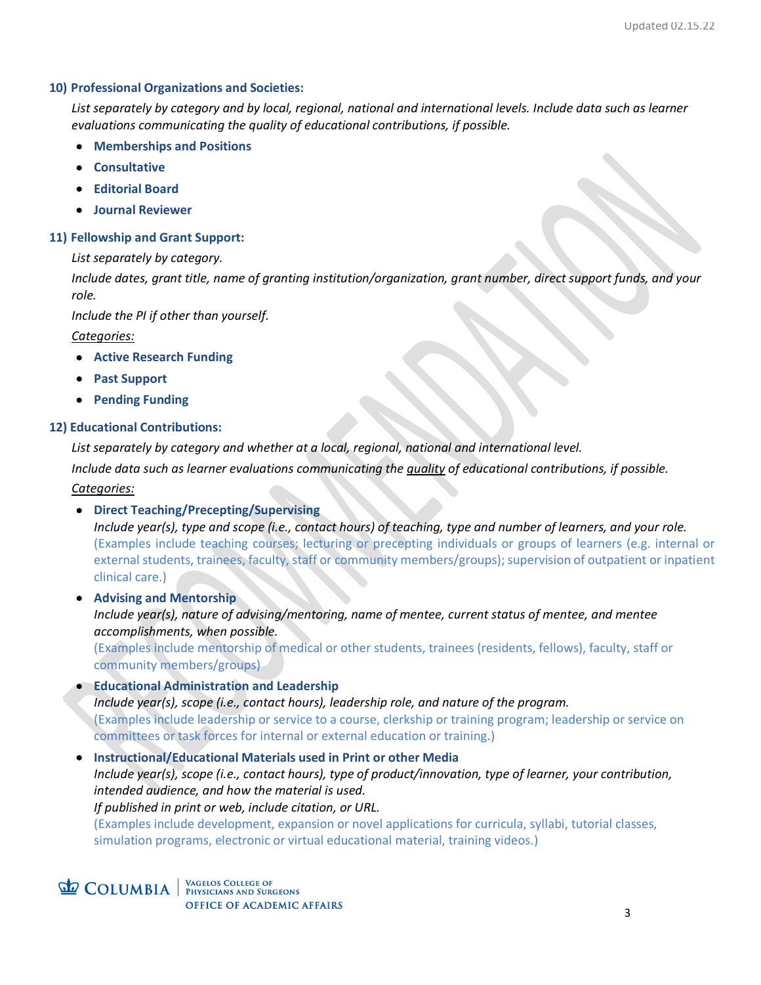#### **10) Professional Organizations and Societies:**

*List separately by category and by local, regional, national and international levels. Include data such as learner evaluations communicating the quality of educational contributions, if possible.*

- **Memberships and Positions**
- **Consultative**
- **Editorial Board**
- **Journal Reviewer**

#### **11) Fellowship and Grant Support:**

*List separately by category.*

*Include dates, grant title, name of granting institution/organization, grant number, direct support funds, and your role.* 

*Include the PI if other than yourself.*

#### *Categories:*

- **Active Research Funding**
- **Past Support**
- **Pending Funding**

#### **12) Educational Contributions:**

*List separately by category and whether at a local, regional, national and international level. Include data such as learner evaluations communicating the quality of educational contributions, if possible. Categories:*

• **Direct Teaching/Precepting/Supervising**

*Include year(s), type and scope (i.e., contact hours) of teaching, type and number of learners, and your role.* (Examples include teaching courses; lecturing or precepting individuals or groups of learners (e.g. internal or external students, trainees, faculty, staff or community members/groups); supervision of outpatient or inpatient clinical care.)

• **Advising and Mentorship** *Include year(s), nature of advising/mentoring, name of mentee, current status of mentee, and mentee accomplishments, when possible.* (Examples include mentorship of medical or other students, trainees (residents, fellows), faculty, staff or community members/groups)

• **Educational Administration and Leadership**  *Include year(s), scope (i.e., contact hours), leadership role, and nature of the program.* (Examples include leadership or service to a course, clerkship or training program; leadership or service on committees or task forces for internal or external education or training.)

• **Instructional/Educational Materials used in Print or other Media** *Include year(s), scope (i.e., contact hours), type of product/innovation, type of learner, your contribution, intended audience, and how the material is used. If published in print or web, include citation, or URL.* (Examples include development, expansion or novel applications for curricula, syllabi, tutorial classes, simulation programs, electronic or virtual educational material, training videos.)

**COLUMBIA** WAGELOS COLLEGE OF **OFFICE OF ACADEMIC AFFAIRS**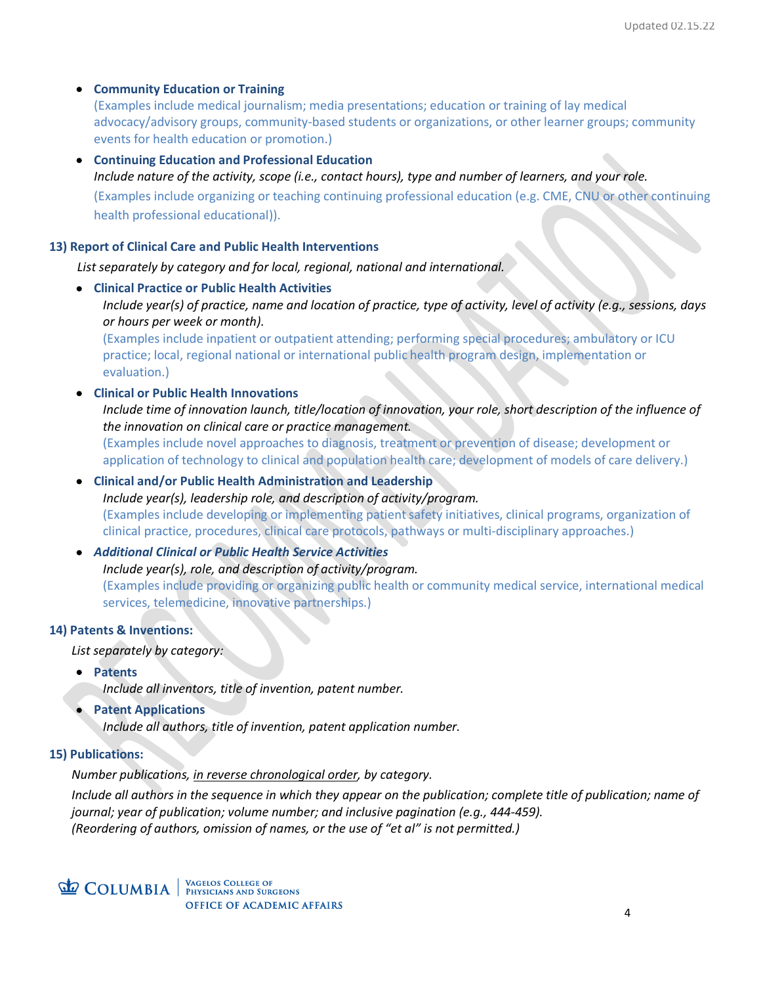### • **Community Education or Training**

(Examples include medical journalism; media presentations; education or training of lay medical advocacy/advisory groups, community-based students or organizations, or other learner groups; community events for health education or promotion.)

• **Continuing Education and Professional Education** *Include nature of the activity, scope (i.e., contact hours), type and number of learners, and your role.* (Examples include organizing or teaching continuing professional education (e.g. CME, CNU or other continuing health professional educational)).

#### **13) Report of Clinical Care and Public Health Interventions**

*List separately by category and for local, regional, national and international.*

• **Clinical Practice or Public Health Activities** *Include year(s) of practice, name and location of practice, type of activity, level of activity (e.g., sessions, days or hours per week or month).*  (Examples include inpatient or outpatient attending; performing special procedures; ambulatory or ICU

practice; local, regional national or international public health program design, implementation or evaluation.)

• **Clinical or Public Health Innovations**

*Include time of innovation launch, title/location of innovation, your role, short description of the influence of the innovation on clinical care or practice management.* 

(Examples include novel approaches to diagnosis, treatment or prevention of disease; development or application of technology to clinical and population health care; development of models of care delivery.)

# • **Clinical and/or Public Health Administration and Leadership** *Include year(s), leadership role, and description of activity/program.* (Examples include developing or implementing patient safety initiatives, clinical programs, organization of clinical practice, procedures, clinical care protocols, pathways or multi-disciplinary approaches.)

• *Additional Clinical or Public Health Service Activities*

*Include year(s), role, and description of activity/program.* (Examples include providing or organizing public health or community medical service, international medical services, telemedicine, innovative partnerships.)

#### **14) Patents & Inventions:**

*List separately by category:*

• **Patents**

*Include all inventors, title of invention, patent number.*

• **Patent Applications** 

*Include all authors, title of invention, patent application number.*

#### **15) Publications:**

*Number publications, in reverse chronological order, by category.*

*Include all authors in the sequence in which they appear on the publication; complete title of publication; name of journal; year of publication; volume number; and inclusive pagination (e.g., 444-459). (Reordering of authors, omission of names, or the use of "et al" is not permitted.)* 

**COLUMBIA** WAGELOS COLLEGE OF **OFFICE OF ACADEMIC AFFAIRS**